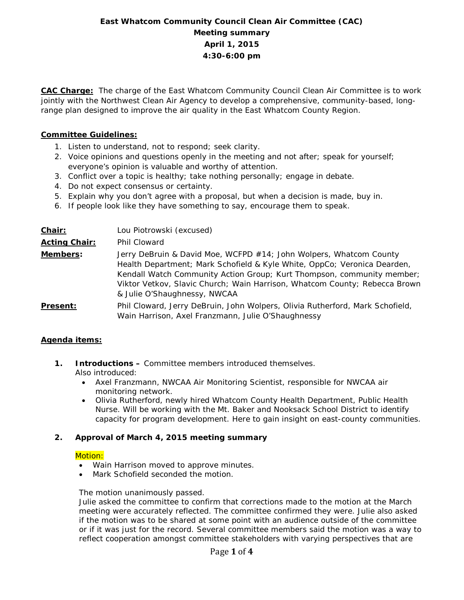# **East Whatcom Community Council Clean Air Committee (CAC) Meeting summary April 1, 2015 4:30-6:00 pm**

**CAC Charge:** The charge of the East Whatcom Community Council Clean Air Committee is to work jointly with the Northwest Clean Air Agency to develop a comprehensive, community-based, longrange plan designed to improve the air quality in the East Whatcom County Region.

# **Committee Guidelines:**

- 1. Listen to understand, not to respond; seek clarity.
- 2. Voice opinions and questions openly in the meeting and not after; speak for yourself; everyone's opinion is valuable and worthy of attention.
- 3. Conflict over a topic is healthy; take nothing personally; engage in debate.
- 4. Do not expect consensus or certainty.
- 5. Explain why you don't agree with a proposal, but when a decision is made, buy in.
- 6. If people look like they have something to say, encourage them to speak.

| Chair:               | Lou Piotrowski (excused)                                                                                                                                                                                                                                                                                                               |
|----------------------|----------------------------------------------------------------------------------------------------------------------------------------------------------------------------------------------------------------------------------------------------------------------------------------------------------------------------------------|
| <b>Acting Chair:</b> | Phil Cloward                                                                                                                                                                                                                                                                                                                           |
| Members:             | Jerry DeBruin & David Moe, WCFPD #14; John Wolpers, Whatcom County<br>Health Department; Mark Schofield & Kyle White, OppCo; Veronica Dearden,<br>Kendall Watch Community Action Group; Kurt Thompson, community member;<br>Viktor Vetkov, Slavic Church; Wain Harrison, Whatcom County; Rebecca Brown<br>& Julie O'Shaughnessy, NWCAA |
| <b>Present:</b>      | Phil Cloward, Jerry DeBruin, John Wolpers, Olivia Rutherford, Mark Schofield,<br>Wain Harrison, Axel Franzmann, Julie O'Shaughnessy                                                                                                                                                                                                    |

# **Agenda items:**

- **1. Introductions –** Committee members introduced themselves. Also introduced:
	- Axel Franzmann, NWCAA Air Monitoring Scientist, responsible for NWCAA air monitoring network.
	- Olivia Rutherford, newly hired Whatcom County Health Department, Public Health Nurse. Will be working with the Mt. Baker and Nooksack School District to identify capacity for program development. Here to gain insight on east-county communities.

# **2. Approval of March 4, 2015 meeting summary**

#### Motion:

- Wain Harrison moved to approve minutes.
- Mark Schofield seconded the motion.

#### The motion unanimously passed.

Julie asked the committee to confirm that corrections made to the motion at the March meeting were accurately reflected. The committee confirmed they were. Julie also asked if the motion was to be shared at some point with an audience outside of the committee or if it was just for the record. Several committee members said the motion was a way to reflect cooperation amongst committee stakeholders with varying perspectives that are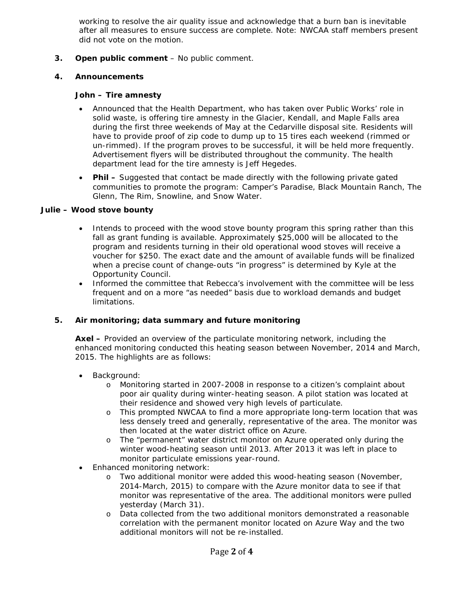working to resolve the air quality issue and acknowledge that a burn ban is inevitable after all measures to ensure success are complete. Note: NWCAA staff members present did not vote on the motion.

**3. Open public comment** – No public comment.

## **4. Announcements**

#### **John – Tire amnesty**

- Announced that the Health Department, who has taken over Public Works' role in solid waste, is offering tire amnesty in the Glacier, Kendall, and Maple Falls area during the first three weekends of May at the Cedarville disposal site. Residents will have to provide proof of zip code to dump up to 15 tires each weekend (rimmed or un-rimmed). If the program proves to be successful, it will be held more frequently. Advertisement flyers will be distributed throughout the community. The health department lead for the tire amnesty is Jeff Hegedes.
- **Phil –** Suggested that contact be made directly with the following private gated communities to promote the program: Camper's Paradise, Black Mountain Ranch, The Glenn, The Rim, Snowline, and Snow Water.

## **Julie – Wood stove bounty**

- Intends to proceed with the wood stove bounty program this spring rather than this fall as grant funding is available. Approximately \$25,000 will be allocated to the program and residents turning in their old operational wood stoves will receive a voucher for \$250. The exact date and the amount of available funds will be finalized when a precise count of change-outs "in progress" is determined by Kyle at the Opportunity Council.
- Informed the committee that Rebecca's involvement with the committee will be less frequent and on a more "as needed" basis due to workload demands and budget limitations.

# **5. Air monitoring; data summary and future monitoring**

**Axel –** Provided an overview of the particulate monitoring network, including the enhanced monitoring conducted this heating season between November, 2014 and March, 2015. The highlights are as follows:

- Background:
	- o Monitoring started in 2007-2008 in response to a citizen's complaint about poor air quality during winter-heating season. A pilot station was located at their residence and showed very high levels of particulate.
	- o This prompted NWCAA to find a more appropriate long-term location that was less densely treed and generally, representative of the area. The monitor was then located at the water district office on Azure.
	- o The "permanent" water district monitor on Azure operated only during the winter wood-heating season until 2013. After 2013 it was left in place to monitor particulate emissions year-round.
- Enhanced monitoring network:
	- o Two additional monitor were added this wood-heating season (November, 2014-March, 2015) to compare with the Azure monitor data to see if that monitor was representative of the area. The additional monitors were pulled yesterday (March 31).
	- o Data collected from the two additional monitors demonstrated a reasonable correlation with the permanent monitor located on Azure Way and the two additional monitors will not be re-installed.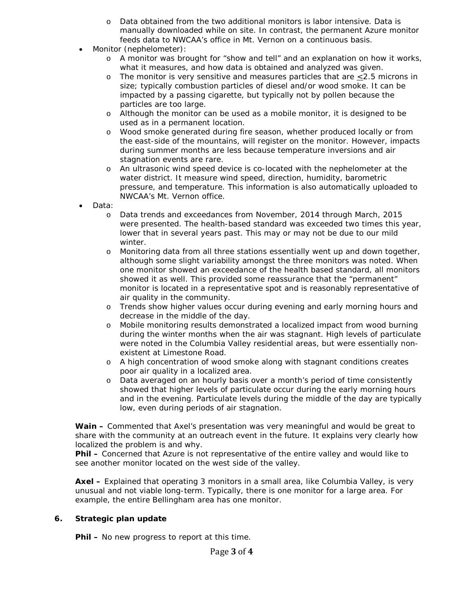- o Data obtained from the two additional monitors is labor intensive. Data is manually downloaded while on site. In contrast, the permanent Azure monitor feeds data to NWCAA's office in Mt. Vernon on a continuous basis.
- Monitor (nephelometer):
	- o A monitor was brought for "show and tell" and an explanation on how it works, what it measures, and how data is obtained and analyzed was given.
	- $\circ$  The monitor is very sensitive and measures particles that are  $\leq$  2.5 microns in size; typically combustion particles of diesel and/or wood smoke. It can be impacted by a passing cigarette, but typically not by pollen because the particles are too large.
	- o Although the monitor can be used as a mobile monitor, it is designed to be used as in a permanent location.
	- o Wood smoke generated during fire season, whether produced locally or from the east-side of the mountains, will register on the monitor. However, impacts during summer months are less because temperature inversions and air stagnation events are rare.
	- o An ultrasonic wind speed device is co-located with the nephelometer at the water district. It measure wind speed, direction, humidity, barometric pressure, and temperature. This information is also automatically uploaded to NWCAA's Mt. Vernon office.
- Data:
	- o Data trends and exceedances from November, 2014 through March, 2015 were presented. The health-based standard was exceeded two times this year, lower that in several years past. This may or may not be due to our mild winter.
	- o Monitoring data from all three stations essentially went up and down together, although some slight variability amongst the three monitors was noted. When one monitor showed an exceedance of the health based standard, all monitors showed it as well. This provided some reassurance that the "permanent" monitor is located in a representative spot and is reasonably representative of air quality in the community.
	- o Trends show higher values occur during evening and early morning hours and decrease in the middle of the day.
	- o Mobile monitoring results demonstrated a localized impact from wood burning during the winter months when the air was stagnant. High levels of particulate were noted in the Columbia Valley residential areas, but were essentially nonexistent at Limestone Road.
	- o A high concentration of wood smoke along with stagnant conditions creates poor air quality in a localized area.
	- o Data averaged on an hourly basis over a month's period of time consistently showed that higher levels of particulate occur during the early morning hours and in the evening. Particulate levels during the middle of the day are typically low, even during periods of air stagnation.

**Wain –** Commented that Axel's presentation was very meaningful and would be great to share with the community at an outreach event in the future. It explains very clearly how localized the problem is and why.

**Phil –** Concerned that Azure is not representative of the entire valley and would like to see another monitor located on the west side of the valley.

**Axel –** Explained that operating 3 monitors in a small area, like Columbia Valley, is very unusual and not viable long-term. Typically, there is one monitor for a large area. For example, the entire Bellingham area has one monitor.

#### **6. Strategic plan update**

**Phil –** No new progress to report at this time.